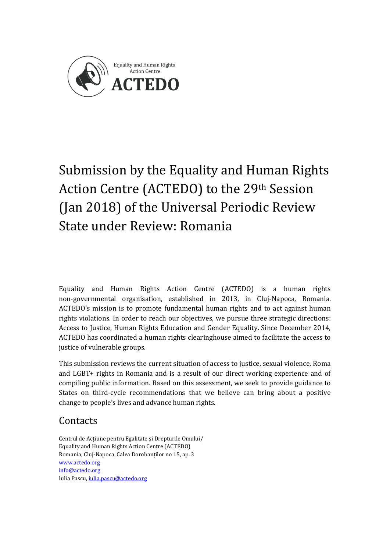

# Submission by the Equality and Human Rights Action Centre (ACTEDO) to the 29th Session (Jan 2018) of the Universal Periodic Review State under Review: Romania

Equality and Human Rights Action Centre (ACTEDO) is a human rights non-governmental organisation, established in 2013, in Cluj-Napoca, Romania. ACTEDO's mission is to promote fundamental human rights and to act against human rights violations. In order to reach our objectives, we pursue three strategic directions: Access to Justice, Human Rights Education and Gender Equality. Since December 2014, ACTEDO has coordinated a human rights clearinghouse aimed to facilitate the access to justice of vulnerable groups.

This submission reviews the current situation of access to justice, sexual violence, Roma and LGBT+ rights in Romania and is a result of our direct working experience and of compiling public information. Based on this assessment, we seek to provide guidance to States on third-cycle recommendations that we believe can bring about a positive change to people's lives and advance human rights.

# **Contacts**

Centrul de Acțiune pentru Egalitate și Drepturile Omului/ Equality and Human Rights Action Centre (ACTEDO) Romania, Cluj-Napoca, Calea Dorobanților no 15, ap. 3 [www.actedo.org](http://www.actedo.org/) [info@actedo.org](mailto:info@actedo.org) Iulia Pascu[, iulia.pascu@actedo.org](mailto:iulia.pascu@actedo.org)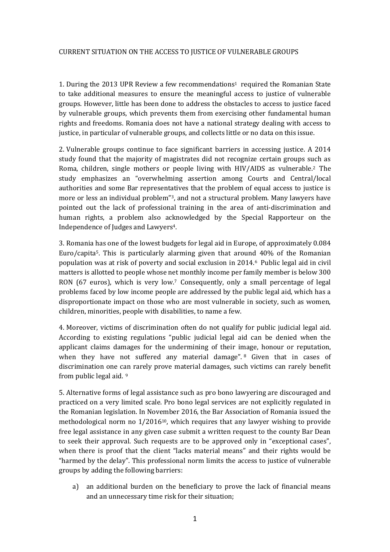#### CURRENT SITUATION ON THE ACCESS TO JUSTICE OF VULNERABLE GROUPS

1. During the 2013 UPR Review a few recommendations<sup>1</sup> required the Romanian State to take additional measures to ensure the meaningful access to justice of vulnerable groups. However, little has been done to address the obstacles to access to justice faced by vulnerable groups, which prevents them from exercising other fundamental human rights and freedoms. Romania does not have a national strategy dealing with access to justice, in particular of vulnerable groups, and collects little or no data on this issue.

2. Vulnerable groups continue to face significant barriers in accessing justice. A 2014 study found that the majority of magistrates did not recognize certain groups such as Roma, children, single mothers or people living with HIV/AIDS as vulnerable.<sup>2</sup> The study emphasizes an "overwhelming assertion among Courts and Central/local authorities and some Bar representatives that the problem of equal access to justice is more or less an individual problem"3, and not a structural problem. Many lawyers have pointed out the lack of professional training in the area of anti-discrimination and human rights, a problem also acknowledged by the Special Rapporteur on the Independence of Judges and Lawyers4.

3. Romania has one of the lowest budgets for legal aid in Europe, of approximately 0.084 Euro/capita5. This is particularly alarming given that around 40% of the Romanian population was at risk of poverty and social exclusion in 2014.<sup>6</sup> Public legal aid in civil matters is allotted to people whose net monthly income per family member is below 300 RON (67 euros), which is very low.<sup>7</sup> Consequently, only a small percentage of legal problems faced by low income people are addressed by the public legal aid, which has a disproportionate impact on those who are most vulnerable in society, such as women, children, minorities, people with disabilities, to name a few.

4. Moreover, victims of discrimination often do not qualify for public judicial legal aid. According to existing regulations "public judicial legal aid can be denied when the applicant claims damages for the undermining of their image, honour or reputation, when they have not suffered any material damage".<sup>8</sup> Given that in cases of discrimination one can rarely prove material damages, such victims can rarely benefit from public legal aid. <sup>9</sup>

5. Alternative forms of legal assistance such as pro bono lawyering are discouraged and practiced on a very limited scale. Pro bono legal services are not explicitly regulated in the Romanian legislation. In November 2016, the Bar Association of Romania issued the methodological norm no  $1/2016^{10}$ , which requires that any lawyer wishing to provide free legal assistance in any given case submit a written request to the county Bar Dean to seek their approval. Such requests are to be approved only in "exceptional cases", when there is proof that the client "lacks material means" and their rights would be "harmed by the delay". This professional norm limits the access to justice of vulnerable groups by adding the following barriers:

a) an additional burden on the beneficiary to prove the lack of financial means and an unnecessary time risk for their situation;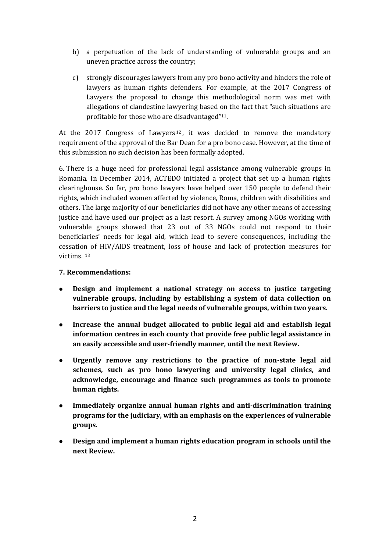- b) a perpetuation of the lack of understanding of vulnerable groups and an uneven practice across the country;
- c) strongly discourages lawyers from any pro bono activity and hinders the role of lawyers as human rights defenders. For example, at the 2017 Congress of Lawyers the proposal to change this methodological norm was met with allegations of clandestine lawyering based on the fact that "such situations are profitable for those who are disadvantaged"11.

At the 2017 Congress of Lawyers<sup>12</sup>, it was decided to remove the mandatory requirement of the approval of the Bar Dean for a pro bono case. However, at the time of this submission no such decision has been formally adopted.

6. There is a huge need for professional legal assistance among vulnerable groups in Romania. In December 2014, ACTEDO initiated a project that set up a human rights clearinghouse. So far, pro bono lawyers have helped over 150 people to defend their rights, which included women affected by violence, Roma, children with disabilities and others. The large majority of our beneficiaries did not have any other means of accessing justice and have used our project as a last resort. A survey among NGOs working with vulnerable groups showed that 23 out of 33 NGOs could not respond to their beneficiaries' needs for legal aid, which lead to severe consequences, including the cessation of HIV/AIDS treatment, loss of house and lack of protection measures for victims. <sup>13</sup>

# **7. Recommendations:**

- **Design and implement a national strategy on access to justice targeting vulnerable groups, including by establishing a system of data collection on barriers to justice and the legal needs of vulnerable groups, within two years.**
- **Increase the annual budget allocated to public legal aid and establish legal information centres in each county that provide free public legal assistance in an easily accessible and user-friendly manner, until the next Review.**
- **Urgently remove any restrictions to the practice of non-state legal aid schemes, such as pro bono lawyering and university legal clinics, and acknowledge, encourage and finance such programmes as tools to promote human rights.**
- **Immediately organize annual human rights and anti-discrimination training programs for the judiciary, with an emphasis on the experiences of vulnerable groups.**
- **Design and implement a human rights education program in schools until the next Review.**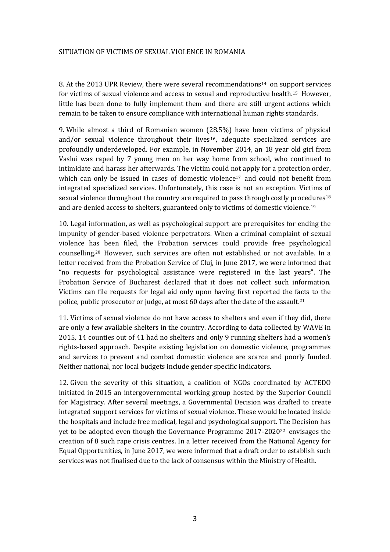#### SITUATION OF VICTIMS OF SEXUAL VIOLENCE IN ROMANIA

8. At the 2013 UPR Review, there were several recommendations<sup>14</sup> on support services for victims of sexual violence and access to sexual and reproductive health.<sup>15</sup> However, little has been done to fully implement them and there are still urgent actions which remain to be taken to ensure compliance with international human rights standards.

9. While almost a third of Romanian women (28.5%) have been victims of physical and/or sexual violence throughout their lives<sup>16</sup>, adequate specialized services are profoundly underdeveloped. For example, in November 2014, an 18 year old girl from Vaslui was raped by 7 young men on her way home from school, who continued to intimidate and harass her afterwards. The victim could not apply for a protection order, which can only be issued in cases of domestic violence<sup>17</sup> and could not benefit from integrated specialized services. Unfortunately, this case is not an exception. Victims of sexual violence throughout the country are required to pass through costly procedures<sup>18</sup> and are denied access to shelters, guaranteed only to victims of domestic violence.<sup>19</sup>

10. Legal information, as well as psychological support are prerequisites for ending the impunity of gender-based violence perpetrators. When a criminal complaint of sexual violence has been filed, the Probation services could provide free psychological counselling.<sup>20</sup> However, such services are often not established or not available. In a letter received from the Probation Service of Cluj, in June 2017, we were informed that "no requests for psychological assistance were registered in the last years". The Probation Service of Bucharest declared that it does not collect such information. Victims can file requests for legal aid only upon having first reported the facts to the police, public prosecutor or judge, at most 60 days after the date of the assault.<sup>21</sup>

11. Victims of sexual violence do not have access to shelters and even if they did, there are only a few available shelters in the country. According to data collected by WAVE in 2015, 14 counties out of 41 had no shelters and only 9 running shelters had a women's rights-based approach. Despite existing legislation on domestic violence, programmes and services to prevent and combat domestic violence are scarce and poorly funded. Neither national, nor local budgets include gender specific indicators.

12. Given the severity of this situation, a coalition of NGOs coordinated by ACTEDO initiated in 2015 an intergovernmental working group hosted by the Superior Council for Magistracy. After several meetings, a Governmental Decision was drafted to create integrated support services for victims of sexual violence. These would be located inside the hospitals and include free medical, legal and psychological support. The Decision has yet to be adopted even though the Governance Programme 2017-2020<sup>22</sup> envisages the creation of 8 such rape crisis centres. In a letter received from the National Agency for Equal Opportunities, in June 2017, we were informed that a draft order to establish such services was not finalised due to the lack of consensus within the Ministry of Health.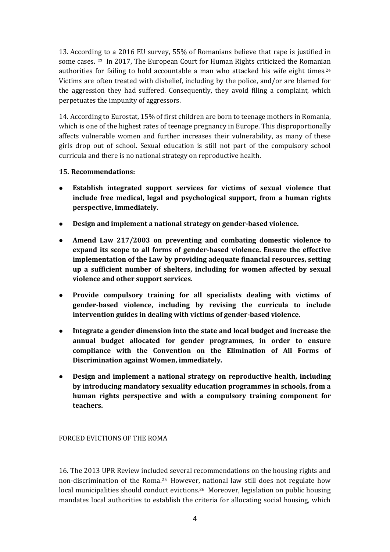13. According to a 2016 EU survey, 55% of Romanians believe that rape is justified in some cases. <sup>23</sup> In 2017, The European Court for Human Rights criticized the Romanian authorities for failing to hold accountable a man who attacked his wife eight times.<sup>24</sup> Victims are often treated with disbelief, including by the police, and/or are blamed for the aggression they had suffered. Consequently, they avoid filing a complaint, which perpetuates the impunity of aggressors.

14. According to Eurostat, 15% of first children are born to teenage mothers in Romania, which is one of the highest rates of teenage pregnancy in Europe. This disproportionally affects vulnerable women and further increases their vulnerability, as many of these girls drop out of school. Sexual education is still not part of the compulsory school curricula and there is no national strategy on reproductive health.

# **15. Recommendations:**

- **Establish integrated support services for victims of sexual violence that include free medical, legal and psychological support, from a human rights perspective, immediately.**
- **Design and implement a national strategy on gender-based violence.**
- **Amend Law 217/2003 on preventing and combating domestic violence to expand its scope to all forms of gender-based violence. Ensure the effective implementation of the Law by providing adequate financial resources, setting up a sufficient number of shelters, including for women affected by sexual violence and other support services.**
- **Provide compulsory training for all specialists dealing with victims of gender-based violence, including by revising the curricula to include intervention guides in dealing with victims of gender-based violence.**
- **Integrate a gender dimension into the state and local budget and increase the annual budget allocated for gender programmes, in order to ensure compliance with the Convention on the Elimination of All Forms of Discrimination against Women, immediately.**
- **Design and implement a national strategy on reproductive health, including by introducing mandatory sexuality education programmes in schools, from a human rights perspective and with a compulsory training component for teachers.**

FORCED EVICTIONS OF THE ROMA

16. The 2013 UPR Review included several recommendations on the housing rights and non-discrimination of the Roma.<sup>25</sup> However, national law still does not regulate how local municipalities should conduct evictions.<sup>26</sup> Moreover, legislation on public housing mandates local authorities to establish the criteria for allocating social housing, which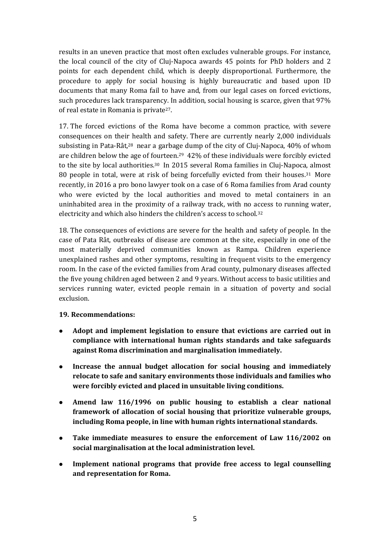results in an uneven practice that most often excludes vulnerable groups. For instance, the local council of the city of Cluj-Napoca awards 45 points for PhD holders and 2 points for each dependent child, which is deeply disproportional. Furthermore, the procedure to apply for social housing is highly bureaucratic and based upon ID documents that many Roma fail to have and, from our legal cases on forced evictions, such procedures lack transparency. In addition, social housing is scarce, given that 97% of real estate in Romania is private27.

17. The forced evictions of the Roma have become a common practice, with severe consequences on their health and safety. There are currently nearly 2,000 individuals subsisting in Pata-Rât,<sup>28</sup> near a garbage dump of the city of Cluj-Napoca, 40% of whom are children below the age of fourteen.<sup>29</sup> 42% of these individuals were forcibly evicted to the site by local authorities.<sup>30</sup> In 2015 several Roma families in Cluj-Napoca, almost 80 people in total, were at risk of being forcefully evicted from their houses.<sup>31</sup> More recently, in 2016 a pro bono lawyer took on a case of 6 Roma families from Arad county who were evicted by the local authorities and moved to metal containers in an uninhabited area in the proximity of a railway track, with no access to running water, electricity and which also hinders the children's access to school.<sup>32</sup>

18. The consequences of evictions are severe for the health and safety of people. In the case of Pata Rât, outbreaks of disease are common at the site, especially in one of the most materially deprived communities known as Rampa. Children experience unexplained rashes and other symptoms, resulting in frequent visits to the emergency room. In the case of the evicted families from Arad county, pulmonary diseases affected the five young children aged between 2 and 9 years. Without access to basic utilities and services running water, evicted people remain in a situation of poverty and social exclusion.

# **19. Recommendations:**

- **Adopt and implement legislation to ensure that evictions are carried out in compliance with international human rights standards and take safeguards against Roma discrimination and marginalisation immediately.**
- **Increase the annual budget allocation for social housing and immediately relocate to safe and sanitary environments those individuals and families who were forcibly evicted and placed in unsuitable living conditions.**
- **Amend law 116/1996 on public housing to establish a clear national framework of allocation of social housing that prioritize vulnerable groups, including Roma people, in line with human rights international standards.**
- **Take immediate measures to ensure the enforcement of Law 116/2002 on social marginalisation at the local administration level.**
- **Implement national programs that provide free access to legal counselling and representation for Roma.**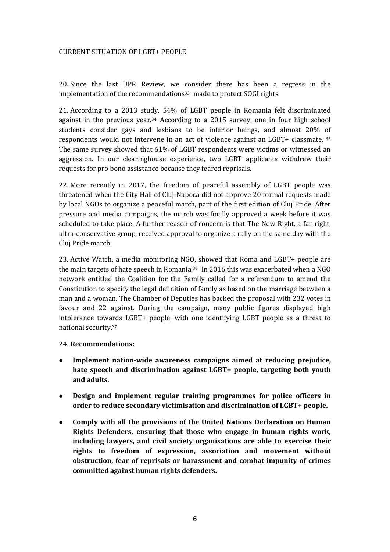#### CURRENT SITUATION OF LGBT+ PEOPLE

20. Since the last UPR Review, we consider there has been a regress in the implementation of the recommendations<sup>33</sup> made to protect SOGI rights.

21. According to a 2013 study, 54% of LGBT people in Romania felt discriminated against in the previous year.<sup>34</sup> According to a 2015 survey, one in four high school students consider gays and lesbians to be inferior beings, and almost 20% of respondents would not intervene in an act of violence against an LGBT+ classmate. <sup>35</sup> The same survey showed that 61% of LGBT respondents were victims or witnessed an aggression. In our clearinghouse experience, two LGBT applicants withdrew their requests for pro bono assistance because they feared reprisals.

22. More recently in 2017, the freedom of peaceful assembly of LGBT people was threatened when the City Hall of Cluj-Napoca did not approve 20 formal requests made by local NGOs to organize a peaceful march, part of the first edition of Cluj Pride. After pressure and media campaigns, the march was finally approved a week before it was scheduled to take place. A further reason of concern is that The New Right, a far-right, ultra-conservative group, received approval to organize a rally on the same day with the Cluj Pride march.

23. Active Watch, a media monitoring NGO, showed that Roma and LGBT+ people are the main targets of hate speech in Romania.<sup>36</sup> In 2016 this was exacerbated when a NGO network entitled the Coalition for the Family called for a referendum to amend the Constitution to specify the legal definition of family as based on the marriage between a man and a woman. The Chamber of Deputies has backed the proposal with 232 votes in favour and 22 against. During the campaign, many public figures displayed high intolerance towards LGBT+ people, with one identifying LGBT people as a threat to national security.<sup>37</sup>

# 24. **Recommendations:**

- **Implement nation-wide awareness campaigns aimed at reducing prejudice, hate speech and discrimination against LGBT+ people, targeting both youth and adults.**
- **Design and implement regular training programmes for police officers in order to reduce secondary victimisation and discrimination of LGBT+ people.**
- **Comply with all the provisions of the United Nations Declaration on Human Rights Defenders, ensuring that those who engage in human rights work, including lawyers, and civil society organisations are able to exercise their rights to freedom of expression, association and movement without obstruction, fear of reprisals or harassment and combat impunity of crimes committed against human rights defenders.**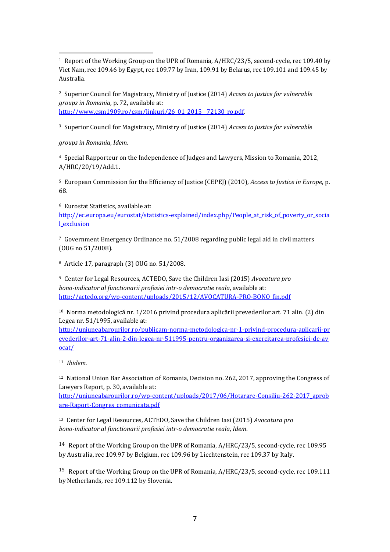-<sup>1</sup> Report of the Working Group on the UPR of Romania, A/HRC/23/5, second-cycle, rec 109.40 by Viet Nam, rec 109.46 by Egypt, rec 109.77 by Iran, 109.91 by Belarus, rec 109.101 and 109.45 by Australia.

<sup>2</sup> Superior Council for Magistracy, Ministry of Justice (2014) *Access to justice for vulnerable groups in Romania*, p. 72, available at: [http://www.csm1909.ro/csm/linkuri/26\\_01\\_2015\\_\\_72130\\_ro.pdf.](http://www.csm1909.ro/csm/linkuri/26_01_2015__72130_ro.pdf)

<sup>3</sup> Superior Council for Magistracy, Ministry of Justice (2014) *Access to justice for vulnerable*

*groups in Romania*, *Idem.*

<sup>4</sup> Special Rapporteur on the Independence of Judges and Lawyers, Mission to Romania, 2012, A/HRC/20/19/Add.1.

<sup>5</sup> European Commission for the Efficiency of Justice (CEPEJ) (2010), *Access to Justice in Europe*, p. 68.

<sup>6</sup> Eurostat Statistics, available at:

[http://ec.europa.eu/eurostat/statistics-explained/index.php/People\\_at\\_risk\\_of\\_poverty\\_or\\_socia](http://ec.europa.eu/eurostat/statistics-explained/index.php/People_at_risk_of_poverty_or_social_exclusion) [l\\_exclusion](http://ec.europa.eu/eurostat/statistics-explained/index.php/People_at_risk_of_poverty_or_social_exclusion)

<sup>7</sup> Government Emergency Ordinance no. 51/2008 regarding public legal aid in civil matters (OUG no 51/2008).

<sup>8</sup> Article 17, paragraph (3) OUG no. 51/2008.

<sup>9</sup> Center for Legal Resources, ACTEDO, Save the Children Iasi (2015) *Avocatura pro bono-indicator al functionarii profesiei intr-o democratie reala*, available at: [http://actedo.org/wp-content/uploads/2015/12/AVOCATURA-PRO-BONO\\_fin.pdf](http://actedo.org/wp-content/uploads/2015/12/AVOCATURA-PRO-BONO_fin.pdf)

<sup>10</sup> Norma metodologică nr. 1/2016 privind procedura aplicării prevederilor art. 71 alin. (2) din Legea nr. 51/1995, available at:

[http://uniuneabarourilor.ro/publicam-norma-metodologica-nr-1-privind-procedura-aplicarii-pr](http://uniuneabarourilor.ro/publicam-norma-metodologica-nr-1-privind-procedura-aplicarii-prevederilor-art-71-alin-2-din-legea-nr-511995-pentru-organizarea-si-exercitarea-profesiei-de-avocat/) [evederilor-art-71-alin-2-din-legea-nr-511995-pentru-organizarea-si-exercitarea-profesiei-de-av](http://uniuneabarourilor.ro/publicam-norma-metodologica-nr-1-privind-procedura-aplicarii-prevederilor-art-71-alin-2-din-legea-nr-511995-pentru-organizarea-si-exercitarea-profesiei-de-avocat/) [ocat/](http://uniuneabarourilor.ro/publicam-norma-metodologica-nr-1-privind-procedura-aplicarii-prevederilor-art-71-alin-2-din-legea-nr-511995-pentru-organizarea-si-exercitarea-profesiei-de-avocat/)

<sup>11</sup> *Ibidem.*

<sup>12</sup> National Union Bar Association of Romania, Decision no. 262, 2017, approving the Congress of Lawyers Report, p. 30, available at:

[http://uniuneabarourilor.ro/wp-content/uploads/2017/06/Hotarare-Consiliu-262-2017\\_aprob](http://uniuneabarourilor.ro/wp-content/uploads/2017/06/Hotarare-Consiliu-262-2017_aprobare-Raport-Congres_comunicata.pdf) [are-Raport-Congres\\_comunicata.pdf](http://uniuneabarourilor.ro/wp-content/uploads/2017/06/Hotarare-Consiliu-262-2017_aprobare-Raport-Congres_comunicata.pdf)

<sup>13</sup> Center for Legal Resources, ACTEDO, Save the Children Iasi (2015) *Avocatura pro bono-indicator al functionarii profesiei intr-o democratie reala*, *Idem*.

14 Report of the Working Group on the UPR of Romania, A/HRC/23/5, second-cycle, rec 109.95 by Australia, rec 109.97 by Belgium, rec 109.96 by Liechtenstein, rec 109.37 by Italy.

15 Report of the Working Group on the UPR of Romania, A/HRC/23/5, second-cycle, rec 109.111 by Netherlands, rec 109.112 by Slovenia.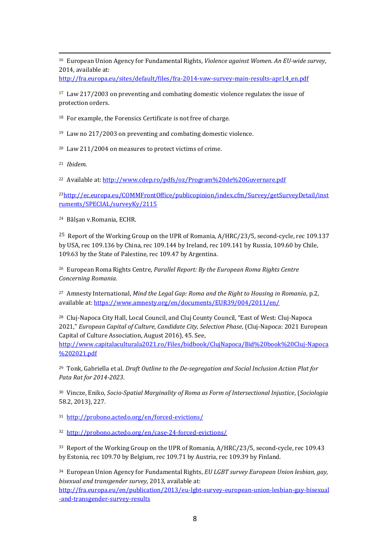-<sup>16</sup> European Union Agency for Fundamental Rights, *Violence against Women. An EU-wide survey*, 2014, available at:

[http://fra.europa.eu/sites/default/files/fra-2014-vaw-survey-main-results-apr14\\_en.pdf](http://fra.europa.eu/sites/default/files/fra-2014-vaw-survey-main-results-apr14_en.pdf)

<sup>17</sup> Law 217/2003 on preventing and combating domestic violence regulates the issue of protection orders.

<sup>18</sup> For example, the Forensics Certificate is not free of charge.

<sup>19</sup> Law no 217/2003 on preventing and combating domestic violence.

<sup>20</sup> Law 211/2004 on measures to protect victims of crime.

<sup>21</sup> *Ibidem.*

<sup>22</sup> Available at:<http://www.cdep.ro/pdfs/oz/Program%20de%20Guvernare.pdf>

<sup>23</sup>[http://ec.europa.eu/COMMFrontOffice/publicopinion/index.cfm/Survey/getSurveyDetail/inst](http://ec.europa.eu/COMMFrontOffice/publicopinion/index.cfm/Survey/getSurveyDetail/instruments/SPECIAL/surveyKy/2115) [ruments/SPECIAL/surveyKy/2115](http://ec.europa.eu/COMMFrontOffice/publicopinion/index.cfm/Survey/getSurveyDetail/instruments/SPECIAL/surveyKy/2115)

<sup>24</sup> Bălșan v.Romania, ECHR.

25 Report of the Working Group on the UPR of Romania, A/HRC/23/5, second-cycle, rec 109.137 by USA, rec 109.136 by China, rec 109.144 by Ireland, rec 109.141 by Russia, 109.60 by Chile, 109.63 by the State of Palestine, rec 109.47 by Argentina.

<sup>26</sup> European Roma Rights Centre, *Parallel Report: By the European Roma Rights Centre Concerning Romania.*

<sup>27</sup> Amnesty International, *Mind the Legal Gap: Roma and the Right to Housing in Romania*, p.2, available at[: https://www.amnesty.org/en/documents/EUR39/004/2011/en/](https://www.amnesty.org/en/documents/EUR39/004/2011/en/)

<sup>28</sup> Cluj-Napoca City Hall, Local Council, and Cluj County Council, "East of West: Cluj-Napoca 2021," *European Capital of Culture, Candidate City, Selection Phase*, (Cluj-Napoca: 2021 European Capital of Culture Association, August 2016), 45. See,

[http://www.capitalaculturala2021.ro/Files/bidbook/ClujNapoca/Bid%20book%20Cluj-Napoca](http://www.capitalaculturala2021.ro/Files/bidbook/ClujNapoca/Bid%20book%20Cluj-Napoca%202021.pdf) [%202021.pdf](http://www.capitalaculturala2021.ro/Files/bidbook/ClujNapoca/Bid%20book%20Cluj-Napoca%202021.pdf)

<sup>29</sup> Tonk, Gabriella et al. *Draft Outline to the De-segregation and Social Inclusion Action Plat for Pata Rat for 2014-2023*.

<sup>30</sup> Vincze, Eniko, *Socio-Spatial Marginality of Roma as Form of Intersectional Injustice*, (*Sociologia* 58.2, 2013), 227.

<sup>31</sup> <http://probono.actedo.org/en/forced-evictions/>

<sup>32</sup> <http://probono.actedo.org/en/case-24-forced-evictions/>

<sup>33</sup> Report of the Working Group on the UPR of Romania, A/HRC/23/5, second-cycle, rec 109.43 by Estonia, rec 109.70 by Belgium, rec 109.71 by Austria, rec 109.39 by Finland.

<sup>34</sup> European Union Agency for Fundamental Rights, *EU LGBT survey European Union lesbian, gay, bisexual and transgender survey*, 2013, available at:

[http://fra.europa.eu/en/publication/2013/eu-lgbt-survey-european-union-lesbian-gay-bisexual](http://fra.europa.eu/en/publication/2013/eu-lgbt-survey-european-union-lesbian-gay-bisexual-and-transgender-survey-results) [-and-transgender-survey-results](http://fra.europa.eu/en/publication/2013/eu-lgbt-survey-european-union-lesbian-gay-bisexual-and-transgender-survey-results)